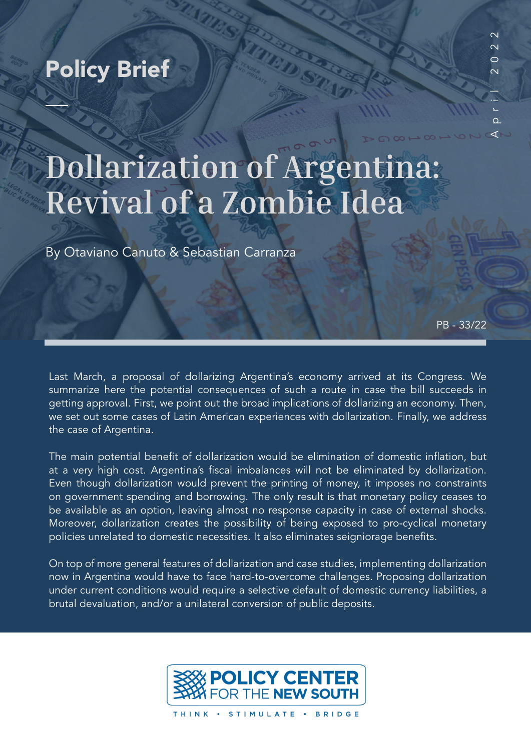## Policy Brief

 $\Omega$  $\prec$ 

# **Dollarization of Argentina: Revival of a Zombie Idea**

By Otaviano Canuto & Sebastian Carranza

PB - 33/22

Last March, a proposal of dollarizing Argentina's economy arrived at its Congress. We summarize here the potential consequences of such a route in case the bill succeeds in getting approval. First, we point out the broad implications of dollarizing an economy. Then, we set out some cases of Latin American experiences with dollarization. Finally, we address the case of Argentina.

The main potential benefit of dollarization would be elimination of domestic inflation, but at a very high cost. Argentina's fiscal imbalances will not be eliminated by dollarization. Even though dollarization would prevent the printing of money, it imposes no constraints on government spending and borrowing. The only result is that monetary policy ceases to be available as an option, leaving almost no response capacity in case of external shocks. Moreover, dollarization creates the possibility of being exposed to pro-cyclical monetary policies unrelated to domestic necessities. It also eliminates seigniorage benefits.

On top of more general features of dollarization and case studies, implementing dollarization now in Argentina would have to face hard-to-overcome challenges. Proposing dollarization under current conditions would require a selective default of domestic currency liabilities, a brutal devaluation, and/or a unilateral conversion of public deposits.



THINK · STIMULATE · BRIDGE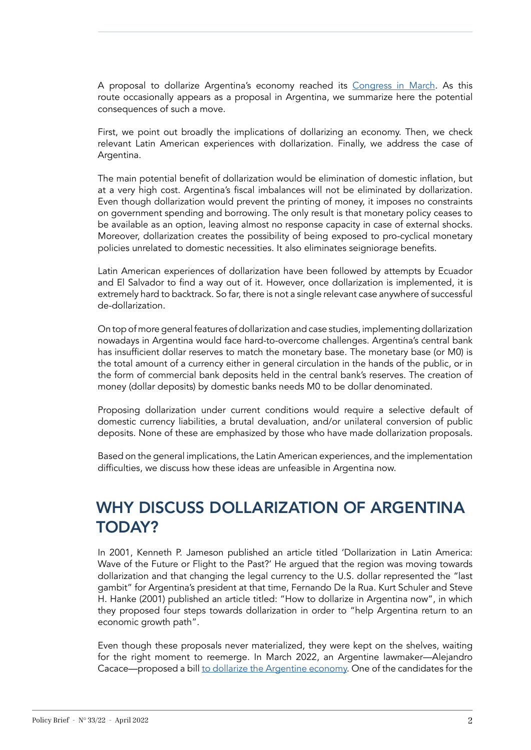A proposal to dollarize Argentina's economy reached its [Congress in March.](https://alejandrocacace.com/wp-content/uploads/2022/03/Proyecto-de-Ley-de-Dolarizacion-Oficial-1.pdf) As this route occasionally appears as a proposal in Argentina, we summarize here the potential consequences of such a move.

First, we point out broadly the implications of dollarizing an economy. Then, we check relevant Latin American experiences with dollarization. Finally, we address the case of Argentina.

The main potential benefit of dollarization would be elimination of domestic inflation, but at a very high cost. Argentina's fiscal imbalances will not be eliminated by dollarization. Even though dollarization would prevent the printing of money, it imposes no constraints on government spending and borrowing. The only result is that monetary policy ceases to be available as an option, leaving almost no response capacity in case of external shocks. Moreover, dollarization creates the possibility of being exposed to pro-cyclical monetary policies unrelated to domestic necessities. It also eliminates seigniorage benefits.

Latin American experiences of dollarization have been followed by attempts by Ecuador and El Salvador to find a way out of it. However, once dollarization is implemented, it is extremely hard to backtrack. So far, there is not a single relevant case anywhere of successful de-dollarization.

On top of more general features of dollarization and case studies, implementing dollarization nowadays in Argentina would face hard-to-overcome challenges. Argentina's central bank has insufficient dollar reserves to match the monetary base. The monetary base (or M0) is the total amount of a currency either in general circulation in the hands of the public, or in the form of commercial bank deposits held in the central bank's reserves. The creation of money (dollar deposits) by domestic banks needs M0 to be dollar denominated.

Proposing dollarization under current conditions would require a selective default of domestic currency liabilities, a brutal devaluation, and/or unilateral conversion of public deposits. None of these are emphasized by those who have made dollarization proposals.

Based on the general implications, the Latin American experiences, and the implementation difficulties, we discuss how these ideas are unfeasible in Argentina now.

## WHY DISCUSS DOLLARIZATION OF ARGENTINA TODAY?

In 2001, Kenneth P. Jameson published an article titled 'Dollarization in Latin America: Wave of the Future or Flight to the Past?' He argued that the region was moving towards dollarization and that changing the legal currency to the U.S. dollar represented the "last gambit" for Argentina's president at that time, Fernando De la Rua. Kurt Schuler and Steve H. Hanke (2001) published an article titled: "How to dollarize in Argentina now", in which they proposed four steps towards dollarization in order to "help Argentina return to an economic growth path".

Even though these proposals never materialized, they were kept on the shelves, waiting for the right moment to reemerge. In March 2022, an Argentine lawmaker—Alejandro Cacace—proposed a bill [to dollarize the Argentine economy.](https://alejandrocacace.com/wp-content/uploads/2022/03/Proyecto-de-Ley-de-Dolarizacion-Oficial-1.pdf) One of the candidates for the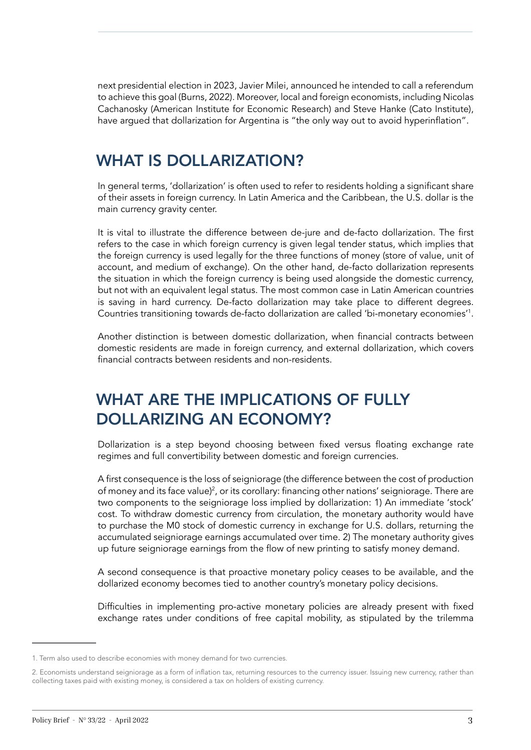next presidential election in 2023, Javier Milei, announced he intended to call a referendum to achieve this goal (Burns, 2022). Moreover, local and foreign economists, including Nicolas Cachanosky (American Institute for Economic Research) and Steve Hanke (Cato Institute), have argued that dollarization for Argentina is "the only way out to avoid hyperinflation".

## WHAT IS DOLLARIZATION?

In general terms, 'dollarization' is often used to refer to residents holding a significant share of their assets in foreign currency. In Latin America and the Caribbean, the U.S. dollar is the main currency gravity center.

It is vital to illustrate the difference between de-jure and de-facto dollarization. The first refers to the case in which foreign currency is given legal tender status, which implies that the foreign currency is used legally for the three functions of money (store of value, unit of account, and medium of exchange). On the other hand, de-facto dollarization represents the situation in which the foreign currency is being used alongside the domestic currency, but not with an equivalent legal status. The most common case in Latin American countries is saving in hard currency. De-facto dollarization may take place to different degrees. Countries transitioning towards de-facto dollarization are called 'bi-monetary economies'1 .

Another distinction is between domestic dollarization, when financial contracts between domestic residents are made in foreign currency, and external dollarization, which covers financial contracts between residents and non-residents.

## WHAT ARE THE IMPLICATIONS OF FULLY DOLLARIZING AN ECONOMY?

Dollarization is a step beyond choosing between fixed versus floating exchange rate regimes and full convertibility between domestic and foreign currencies.

A first consequence is the loss of seigniorage (the difference between the cost of production of money and its face value)<sup>2</sup>, or its corollary: financing other nations' seigniorage. There are two components to the seigniorage loss implied by dollarization: 1) An immediate 'stock' cost. To withdraw domestic currency from circulation, the monetary authority would have to purchase the M0 stock of domestic currency in exchange for U.S. dollars, returning the accumulated seigniorage earnings accumulated over time. 2) The monetary authority gives up future seigniorage earnings from the flow of new printing to satisfy money demand.

A second consequence is that proactive monetary policy ceases to be available, and the dollarized economy becomes tied to another country's monetary policy decisions.

Difficulties in implementing pro-active monetary policies are already present with fixed exchange rates under conditions of free capital mobility, as stipulated by the trilemma

<sup>1.</sup> Term also used to describe economies with money demand for two currencies.

<sup>2.</sup> Economists understand seigniorage as a form of inflation tax, returning resources to the currency issuer. Issuing new currency, rather than collecting taxes paid with existing money, is considered a tax on holders of existing currency.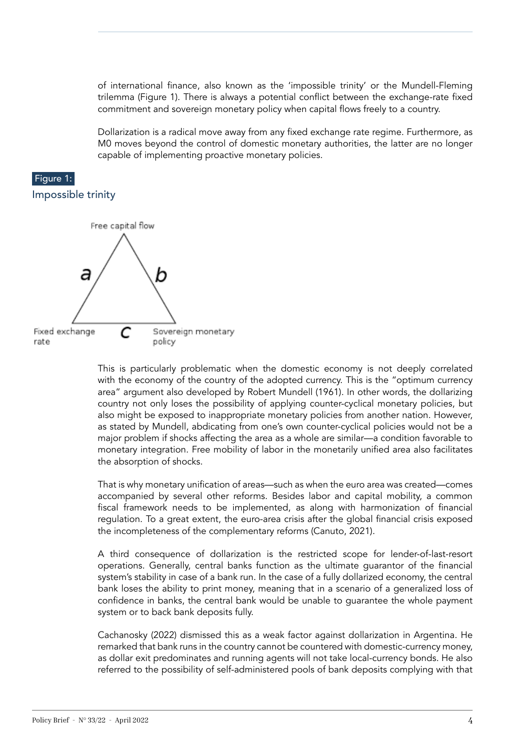of international finance, also known as the 'impossible trinity' or the Mundell-Fleming trilemma (Figure 1). There is always a potential conflict between the exchange-rate fixed commitment and sovereign monetary policy when capital flows freely to a country.

Dollarization is a radical move away from any fixed exchange rate regime. Furthermore, as M0 moves beyond the control of domestic monetary authorities, the latter are no longer capable of implementing proactive monetary policies.

#### Figure 1:





This is particularly problematic when the domestic economy is not deeply correlated with the economy of the country of the adopted currency. This is the "optimum currency area" argument also developed by Robert Mundell (1961). In other words, the dollarizing country not only loses the possibility of applying counter-cyclical monetary policies, but also might be exposed to inappropriate monetary policies from another nation. However, as stated by Mundell, abdicating from one's own counter-cyclical policies would not be a major problem if shocks affecting the area as a whole are similar—a condition favorable to monetary integration. Free mobility of labor in the monetarily unified area also facilitates the absorption of shocks.

That is why monetary unification of areas—such as when the euro area was created—comes accompanied by several other reforms. Besides labor and capital mobility, a common fiscal framework needs to be implemented, as along with harmonization of financial regulation. To a great extent, the euro-area crisis after the global financial crisis exposed the incompleteness of the complementary reforms (Canuto, 2021).

A third consequence of dollarization is the restricted scope for lender-of-last-resort operations. Generally, central banks function as the ultimate guarantor of the financial system's stability in case of a bank run. In the case of a fully dollarized economy, the central bank loses the ability to print money, meaning that in a scenario of a generalized loss of confidence in banks, the central bank would be unable to guarantee the whole payment system or to back bank deposits fully.

Cachanosky (2022) dismissed this as a weak factor against dollarization in Argentina. He remarked that bank runs in the country cannot be countered with domestic-currency money, as dollar exit predominates and running agents will not take local-currency bonds. He also referred to the possibility of self-administered pools of bank deposits complying with that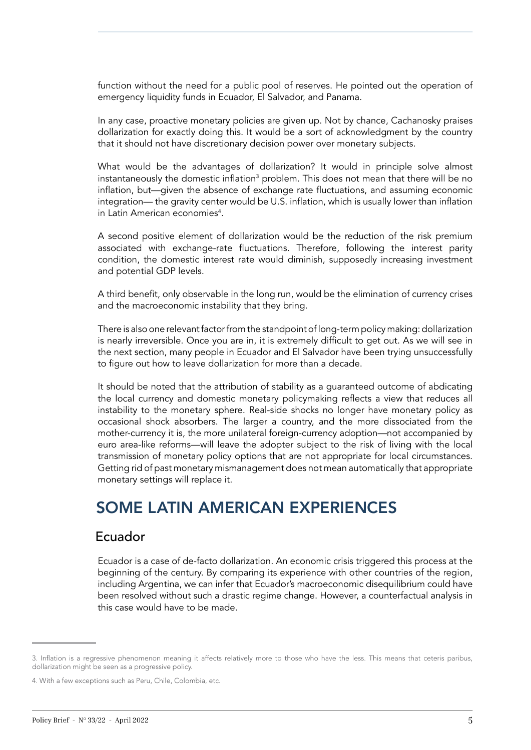function without the need for a public pool of reserves. He pointed out the operation of emergency liquidity funds in Ecuador, El Salvador, and Panama.

In any case, proactive monetary policies are given up. Not by chance, Cachanosky praises dollarization for exactly doing this. It would be a sort of acknowledgment by the country that it should not have discretionary decision power over monetary subjects.

What would be the advantages of dollarization? It would in principle solve almost instantaneously the domestic inflation $^3$  problem. This does not mean that there will be no inflation, but—given the absence of exchange rate fluctuations, and assuming economic integration— the gravity center would be U.S. inflation, which is usually lower than inflation in Latin American economies<sup>4</sup>.

A second positive element of dollarization would be the reduction of the risk premium associated with exchange-rate fluctuations. Therefore, following the interest parity condition, the domestic interest rate would diminish, supposedly increasing investment and potential GDP levels.

A third benefit, only observable in the long run, would be the elimination of currency crises and the macroeconomic instability that they bring.

There is also one relevant factor from the standpoint of long-term policy making: dollarization is nearly irreversible. Once you are in, it is extremely difficult to get out. As we will see in the next section, many people in Ecuador and El Salvador have been trying unsuccessfully to figure out how to leave dollarization for more than a decade.

It should be noted that the attribution of stability as a guaranteed outcome of abdicating the local currency and domestic monetary policymaking reflects a view that reduces all instability to the monetary sphere. Real-side shocks no longer have monetary policy as occasional shock absorbers. The larger a country, and the more dissociated from the mother-currency it is, the more unilateral foreign-currency adoption—not accompanied by euro area-like reforms—will leave the adopter subject to the risk of living with the local transmission of monetary policy options that are not appropriate for local circumstances. Getting rid of past monetary mismanagement does not mean automatically that appropriate monetary settings will replace it.

## SOME LATIN AMERICAN EXPERIENCES

#### Ecuador

Ecuador is a case of de-facto dollarization. An economic crisis triggered this process at the beginning of the century. By comparing its experience with other countries of the region, including Argentina, we can infer that Ecuador's macroeconomic disequilibrium could have been resolved without such a drastic regime change. However, a counterfactual analysis in this case would have to be made.

<sup>3.</sup> Inflation is a regressive phenomenon meaning it affects relatively more to those who have the less. This means that ceteris paribus, dollarization might be seen as a progressive policy.

<sup>4.</sup> With a few exceptions such as Peru, Chile, Colombia, etc.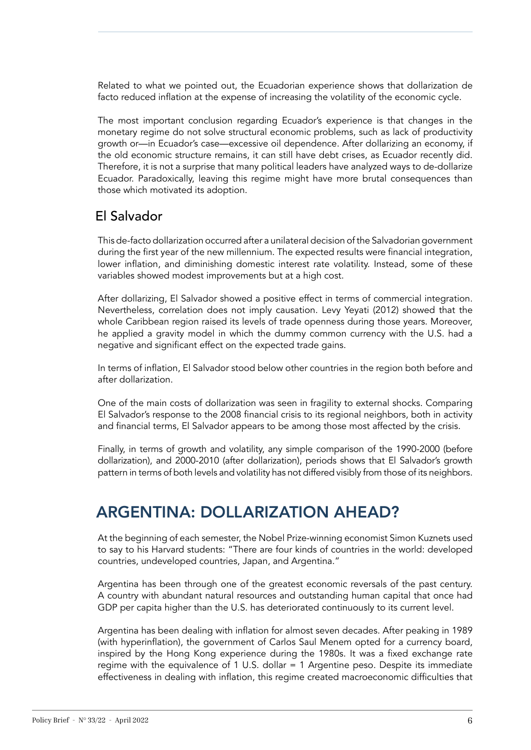Related to what we pointed out, the Ecuadorian experience shows that dollarization de facto reduced inflation at the expense of increasing the volatility of the economic cycle.

The most important conclusion regarding Ecuador's experience is that changes in the monetary regime do not solve structural economic problems, such as lack of productivity growth or—in Ecuador's case—excessive oil dependence. After dollarizing an economy, if the old economic structure remains, it can still have debt crises, as Ecuador recently did. Therefore, it is not a surprise that many political leaders have analyzed ways to de-dollarize Ecuador. Paradoxically, leaving this regime might have more brutal consequences than those which motivated its adoption.

### El Salvador

This de-facto dollarization occurred after a unilateral decision of the Salvadorian government during the first year of the new millennium. The expected results were financial integration, lower inflation, and diminishing domestic interest rate volatility. Instead, some of these variables showed modest improvements but at a high cost.

After dollarizing, El Salvador showed a positive effect in terms of commercial integration. Nevertheless, correlation does not imply causation. Levy Yeyati (2012) showed that the whole Caribbean region raised its levels of trade openness during those years. Moreover, he applied a gravity model in which the dummy common currency with the U.S. had a negative and significant effect on the expected trade gains.

In terms of inflation, El Salvador stood below other countries in the region both before and after dollarization.

One of the main costs of dollarization was seen in fragility to external shocks. Comparing El Salvador's response to the 2008 financial crisis to its regional neighbors, both in activity and financial terms, El Salvador appears to be among those most affected by the crisis.

Finally, in terms of growth and volatility, any simple comparison of the 1990-2000 (before dollarization), and 2000-2010 (after dollarization), periods shows that El Salvador's growth pattern in terms of both levels and volatility has not differed visibly from those of its neighbors.

## ARGENTINA: DOLLARIZATION AHEAD?

At the beginning of each semester, the Nobel Prize-winning economist Simon Kuznets used to say to his Harvard students: "There are four kinds of countries in the world: developed countries, undeveloped countries, Japan, and Argentina."

Argentina has been through one of the greatest economic reversals of the past century. A country with abundant natural resources and outstanding human capital that once had GDP per capita higher than the U.S. has deteriorated continuously to its current level.

Argentina has been dealing with inflation for almost seven decades. After peaking in 1989 (with hyperinflation), the government of Carlos Saul Menem opted for a currency board, inspired by the Hong Kong experience during the 1980s. It was a fixed exchange rate regime with the equivalence of 1 U.S. dollar = 1 Argentine peso. Despite its immediate effectiveness in dealing with inflation, this regime created macroeconomic difficulties that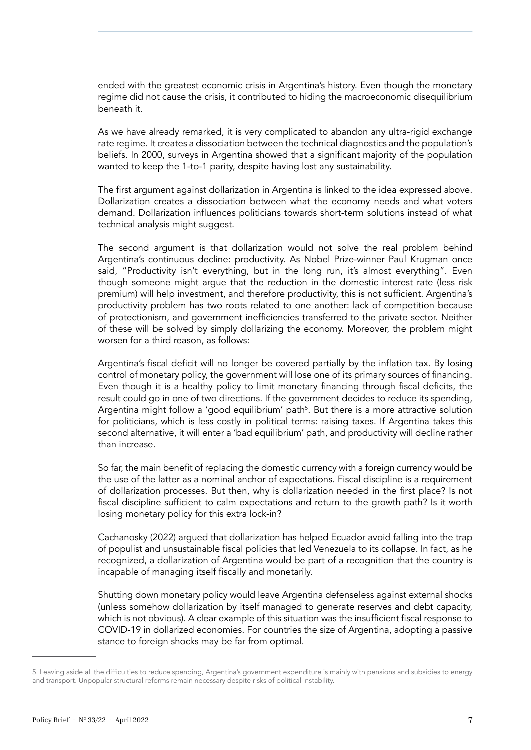ended with the greatest economic crisis in Argentina's history. Even though the monetary regime did not cause the crisis, it contributed to hiding the macroeconomic disequilibrium beneath it.

As we have already remarked, it is very complicated to abandon any ultra-rigid exchange rate regime. It creates a dissociation between the technical diagnostics and the population's beliefs. In 2000, surveys in Argentina showed that a significant majority of the population wanted to keep the 1-to-1 parity, despite having lost any sustainability.

The first argument against dollarization in Argentina is linked to the idea expressed above. Dollarization creates a dissociation between what the economy needs and what voters demand. Dollarization influences politicians towards short-term solutions instead of what technical analysis might suggest.

The second argument is that dollarization would not solve the real problem behind Argentina's continuous decline: productivity. As Nobel Prize-winner Paul Krugman once said, "Productivity isn't everything, but in the long run, it's almost everything". Even though someone might argue that the reduction in the domestic interest rate (less risk premium) will help investment, and therefore productivity, this is not sufficient. Argentina's productivity problem has two roots related to one another: lack of competition because of protectionism, and government inefficiencies transferred to the private sector. Neither of these will be solved by simply dollarizing the economy. Moreover, the problem might worsen for a third reason, as follows:

Argentina's fiscal deficit will no longer be covered partially by the inflation tax. By losing control of monetary policy, the government will lose one of its primary sources of financing. Even though it is a healthy policy to limit monetary financing through fiscal deficits, the result could go in one of two directions. If the government decides to reduce its spending, Argentina might follow a 'good equilibrium' path<sup>5</sup>. But there is a more attractive solution for politicians, which is less costly in political terms: raising taxes. If Argentina takes this second alternative, it will enter a 'bad equilibrium' path, and productivity will decline rather than increase.

So far, the main benefit of replacing the domestic currency with a foreign currency would be the use of the latter as a nominal anchor of expectations. Fiscal discipline is a requirement of dollarization processes. But then, why is dollarization needed in the first place? Is not fiscal discipline sufficient to calm expectations and return to the growth path? Is it worth losing monetary policy for this extra lock-in?

Cachanosky (2022) argued that dollarization has helped Ecuador avoid falling into the trap of populist and unsustainable fiscal policies that led Venezuela to its collapse. In fact, as he recognized, a dollarization of Argentina would be part of a recognition that the country is incapable of managing itself fiscally and monetarily.

Shutting down monetary policy would leave Argentina defenseless against external shocks (unless somehow dollarization by itself managed to generate reserves and debt capacity, which is not obvious). A clear example of this situation was the insufficient fiscal response to COVID-19 in dollarized economies. For countries the size of Argentina, adopting a passive stance to foreign shocks may be far from optimal.

<sup>5.</sup> Leaving aside all the difficulties to reduce spending, Argentina's government expenditure is mainly with pensions and subsidies to energy and transport. Unpopular structural reforms remain necessary despite risks of political instability.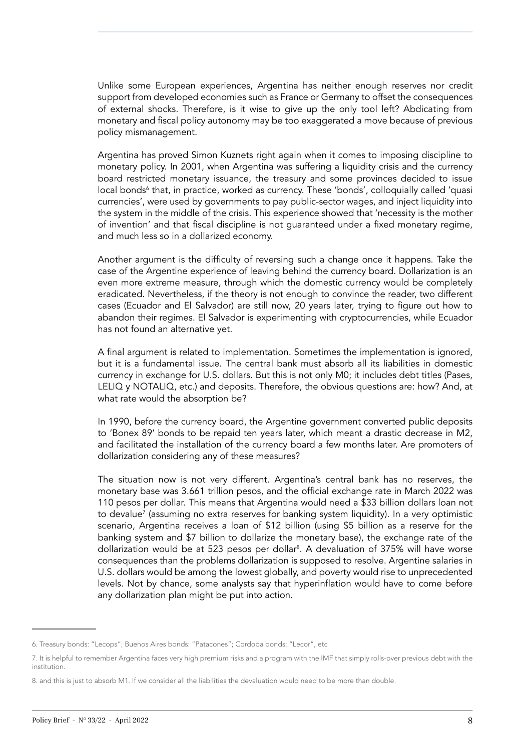Unlike some European experiences, Argentina has neither enough reserves nor credit support from developed economies such as France or Germany to offset the consequences of external shocks. Therefore, is it wise to give up the only tool left? Abdicating from monetary and fiscal policy autonomy may be too exaggerated a move because of previous policy mismanagement.

Argentina has proved Simon Kuznets right again when it comes to imposing discipline to monetary policy. In 2001, when Argentina was suffering a liquidity crisis and the currency board restricted monetary issuance, the treasury and some provinces decided to issue local bonds<sup>6</sup> that, in practice, worked as currency. These 'bonds', colloquially called 'quasi currencies', were used by governments to pay public-sector wages, and inject liquidity into the system in the middle of the crisis. This experience showed that 'necessity is the mother of invention' and that fiscal discipline is not guaranteed under a fixed monetary regime, and much less so in a dollarized economy.

Another argument is the difficulty of reversing such a change once it happens. Take the case of the Argentine experience of leaving behind the currency board. Dollarization is an even more extreme measure, through which the domestic currency would be completely eradicated. Nevertheless, if the theory is not enough to convince the reader, two different cases (Ecuador and El Salvador) are still now, 20 years later, trying to figure out how to abandon their regimes. El Salvador is experimenting with cryptocurrencies, while Ecuador has not found an alternative yet.

A final argument is related to implementation. Sometimes the implementation is ignored, but it is a fundamental issue. The central bank must absorb all its liabilities in domestic currency in exchange for U.S. dollars. But this is not only M0; it includes debt titles (Pases, LELIQ y NOTALIQ, etc.) and deposits. Therefore, the obvious questions are: how? And, at what rate would the absorption be?

In 1990, before the currency board, the Argentine government converted public deposits to 'Bonex 89' bonds to be repaid ten years later, which meant a drastic decrease in M2, and facilitated the installation of the currency board a few months later. Are promoters of dollarization considering any of these measures?

The situation now is not very different. Argentina's central bank has no reserves, the monetary base was 3.661 trillion pesos, and the official exchange rate in March 2022 was 110 pesos per dollar. This means that Argentina would need a \$33 billion dollars loan not to devalue7 (assuming no extra reserves for banking system liquidity). In a very optimistic scenario, Argentina receives a loan of \$12 billion (using \$5 billion as a reserve for the banking system and \$7 billion to dollarize the monetary base), the exchange rate of the dollarization would be at 523 pesos per dollar<sup>8</sup>. A devaluation of 375% will have worse consequences than the problems dollarization is supposed to resolve. Argentine salaries in U.S. dollars would be among the lowest globally, and poverty would rise to unprecedented levels. Not by chance, some analysts say that hyperinflation would have to come before any dollarization plan might be put into action.

<sup>6.</sup> Treasury bonds: "Lecops"; Buenos Aires bonds: "Patacones"; Cordoba bonds: "Lecor", etc

<sup>7.</sup> It is helpful to remember Argentina faces very high premium risks and a program with the IMF that simply rolls-over previous debt with the institution.

<sup>8.</sup> and this is just to absorb M1. If we consider all the liabilities the devaluation would need to be more than double.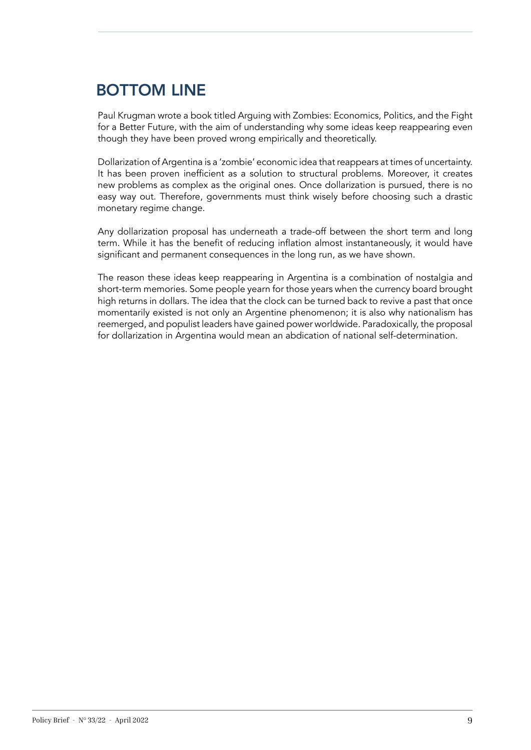## BOTTOM LINE

Paul Krugman wrote a book titled Arguing with Zombies: Economics, Politics, and the Fight for a Better Future, with the aim of understanding why some ideas keep reappearing even though they have been proved wrong empirically and theoretically.

Dollarization of Argentina is a 'zombie' economic idea that reappears at times of uncertainty. It has been proven inefficient as a solution to structural problems. Moreover, it creates new problems as complex as the original ones. Once dollarization is pursued, there is no easy way out. Therefore, governments must think wisely before choosing such a drastic monetary regime change.

Any dollarization proposal has underneath a trade-off between the short term and long term. While it has the benefit of reducing inflation almost instantaneously, it would have significant and permanent consequences in the long run, as we have shown.

The reason these ideas keep reappearing in Argentina is a combination of nostalgia and short-term memories. Some people yearn for those years when the currency board brought high returns in dollars. The idea that the clock can be turned back to revive a past that once momentarily existed is not only an Argentine phenomenon; it is also why nationalism has reemerged, and populist leaders have gained power worldwide. Paradoxically, the proposal for dollarization in Argentina would mean an abdication of national self-determination.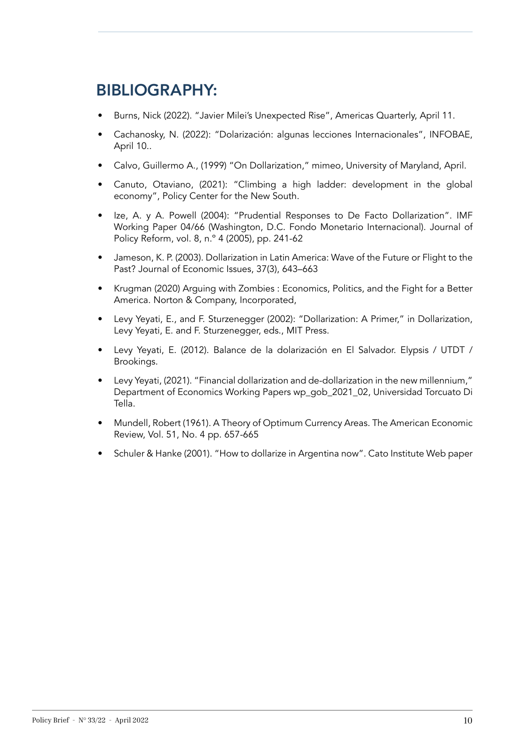## BIBLIOGRAPHY:

- Burns, Nick (2022). "Javier Milei's Unexpected Rise", Americas Quarterly, April 11.
- Cachanosky, N. (2022): "Dolarización: algunas lecciones Internacionales", INFOBAE, April 10..
- Calvo, Guillermo A., (1999) "On Dollarization," mimeo, University of Maryland, April.
- Canuto, Otaviano, (2021): "Climbing a high ladder: development in the global economy", Policy Center for the New South.
- Ize, A. y A. Powell (2004): "Prudential Responses to De Facto Dollarization". IMF Working Paper 04/66 (Washington, D.C. Fondo Monetario Internacional). Journal of Policy Reform, vol. 8, n.º 4 (2005), pp. 241-62
- Jameson, K. P. (2003). Dollarization in Latin America: Wave of the Future or Flight to the Past? Journal of Economic Issues, 37(3), 643–663
- Krugman (2020) Arguing with Zombies : Economics, Politics, and the Fight for a Better America. Norton & Company, Incorporated,
- Levy Yeyati, E., and F. Sturzenegger (2002): "Dollarization: A Primer," in Dollarization, Levy Yeyati, E. and F. Sturzenegger, eds., MIT Press.
- Levy Yeyati, E. (2012). Balance de la dolarización en El Salvador. Elypsis / UTDT / Brookings.
- Levy Yeyati, (2021). "Financial dollarization and de-dollarization in the new millennium," Department of Economics Working Papers wp\_gob\_2021\_02, Universidad Torcuato Di Tella.
- Mundell, Robert (1961). A Theory of Optimum Currency Areas. The American Economic Review, Vol. 51, No. 4 pp. 657-665
- Schuler & Hanke (2001). "How to dollarize in Argentina now". Cato Institute Web paper